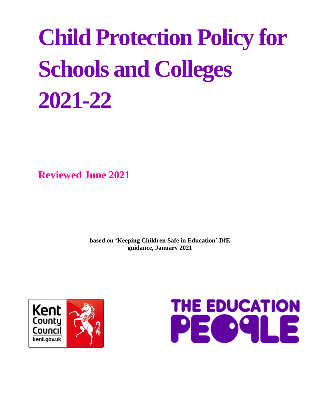# **Child Protection Policy for Schools and Colleges 2021-22**

**Reviewed June 2021**

**based on 'Keeping Children Safe in Education' DfE guidance, January 2021**



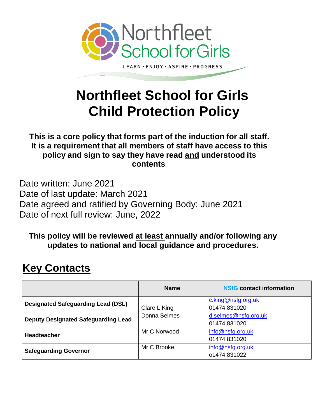

**Northfleet School for Girls Child Protection Policy** 

**This is a core policy that forms part of the induction for all staff. It is a requirement that all members of staff have access to this policy and sign to say they have read and understood its contents**.

Date written: June 2021 Date of last update: March 2021 Date agreed and ratified by Governing Body: June 2021 Date of next full review: June, 2022

**This policy will be reviewed at least annually and/or following any updates to national and local guidance and procedures.** 

# **Key Contacts**

|                                            | <b>Name</b>  | <b>NSfG</b> contact information      |
|--------------------------------------------|--------------|--------------------------------------|
| <b>Designated Safeguarding Lead (DSL)</b>  | Clare L King | c.king@nsfg.org.uk<br>01474 831020   |
| <b>Deputy Designated Safeguarding Lead</b> | Donna Selmes | d.selmes@nsfg.org.uk<br>01474 831020 |
| <b>Headteacher</b>                         | Mr C Norwood | info@nsfg.org.uk<br>01474 831020     |
| <b>Safeguarding Governor</b>               | Mr C Brooke  | info@nsfg.org.uk<br>o1474 831022     |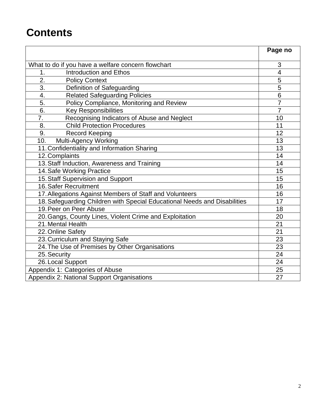# **Contents**

|                                                                           | Page no                  |
|---------------------------------------------------------------------------|--------------------------|
|                                                                           |                          |
| What to do if you have a welfare concern flowchart                        | 3                        |
| <b>Introduction and Ethos</b><br>1.                                       | $\overline{\mathcal{A}}$ |
| $\overline{2}$ .<br><b>Policy Context</b>                                 | 5                        |
| $\overline{3}$ .<br>Definition of Safeguarding                            | 5                        |
| <b>Related Safeguarding Policies</b><br>4.                                | 6                        |
| 5.<br>Policy Compliance, Monitoring and Review                            | $\overline{7}$           |
| 6.<br><b>Key Responsibilities</b>                                         | $\overline{7}$           |
| Recognising Indicators of Abuse and Neglect<br>7.                         | 10                       |
| <b>Child Protection Procedures</b><br>8.                                  | 11                       |
| 9.<br><b>Record Keeping</b>                                               | 12                       |
| 10.<br>Multi-Agency Working                                               | 13                       |
| 11. Confidentiality and Information Sharing                               | 13                       |
| 12. Complaints                                                            | 14                       |
| 13. Staff Induction, Awareness and Training                               | 14                       |
| 14. Safe Working Practice                                                 | 15                       |
| 15. Staff Supervision and Support                                         | 15                       |
| 16. Safer Recruitment                                                     | 16                       |
| 17. Allegations Against Members of Staff and Volunteers                   | 16                       |
| 18. Safeguarding Children with Special Educational Needs and Disabilities | 17                       |
| 19. Peer on Peer Abuse                                                    | 18                       |
| 20. Gangs, County Lines, Violent Crime and Exploitation                   | 20                       |
| 21. Mental Health                                                         | 21                       |
| 22. Online Safety                                                         | 21                       |
| 23. Curriculum and Staying Safe                                           | 23                       |
| 24. The Use of Premises by Other Organisations                            | 23                       |
| 25. Security                                                              | 24                       |
| 26. Local Support                                                         | 24                       |
| Appendix 1: Categories of Abuse                                           | 25                       |
| Appendix 2: National Support Organisations                                | 27                       |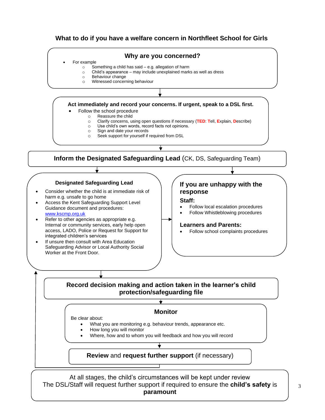#### **What to do if you have a welfare concern in Northfleet School for Girls**



The DSL/Staff will request further support if required to ensure the **child's safety** is **paramount**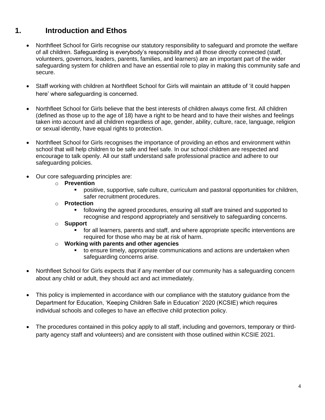## **1. Introduction and Ethos**

- Northfleet School for Girls recognise our statutory responsibility to safeguard and promote the welfare of all children. Safeguarding is everybody's responsibility and all those directly connected (staff, volunteers, governors, leaders, parents, families, and learners) are an important part of the wider safeguarding system for children and have an essential role to play in making this community safe and secure.
- Staff working with children at Northfleet School for Girls will maintain an attitude of 'it could happen here' where safeguarding is concerned.
- Northfleet School for Girls believe that the best interests of children always come first. All children (defined as those up to the age of 18) have a right to be heard and to have their wishes and feelings taken into account and all children regardless of age, gender, ability, culture, race, language, religion or sexual identity, have equal rights to protection.
- Northfleet School for Girls recognises the importance of providing an ethos and environment within school that will help children to be safe and feel safe. In our school children are respected and encourage to talk openly. All our staff understand safe professional practice and adhere to our safeguarding policies.
- Our core safeguarding principles are:
	- o **Prevention**
		- positive, supportive, safe culture, curriculum and pastoral opportunities for children, safer recruitment procedures.
	- o **Protection**
		- following the agreed procedures, ensuring all staff are trained and supported to recognise and respond appropriately and sensitively to safeguarding concerns.
	- o **Support**
		- **EXT** for all learners, parents and staff, and where appropriate specific interventions are required for those who may be at risk of harm.
	- o **Working with parents and other agencies**
		- to ensure timely, appropriate communications and actions are undertaken when safeguarding concerns arise.
- Northfleet School for Girls expects that if any member of our community has a safeguarding concern about any child or adult, they should act and act immediately.
- This policy is implemented in accordance with our compliance with the statutory guidance from the Department for Education, 'Keeping Children Safe in Education' 2020 (KCSIE) which requires individual schools and colleges to have an effective child protection policy.
- The procedures contained in this policy apply to all staff, including and governors, temporary or thirdparty agency staff and volunteers) and are consistent with those outlined within KCSIE 2021.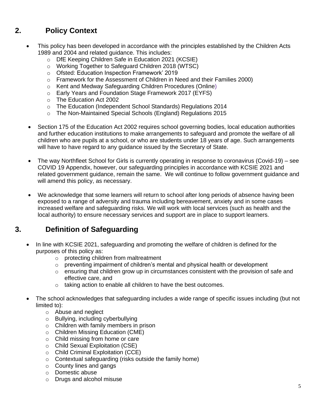## **2. Policy Context**

- This policy has been developed in accordance with the principles established by the Children Acts 1989 and 2004 and related guidance. This includes:
	- o DfE Keeping Children Safe in Education 2021 (KCSIE)
	- o Working Together to Safeguard Children 2018 (WTSC)
	- o Ofsted: Education Inspection Framework' 2019
	- o Framework for the Assessment of Children in Need and their Families 2000)
	- o Kent and Medway Safeguarding Children Procedures (Online)
	- o Early Years and Foundation Stage Framework 2017 (EYFS)
	- o The Education Act 2002
	- o The Education (Independent School Standards) Regulations 2014
	- o The Non-Maintained Special Schools (England) Regulations 2015
	- Section 175 of the Education Act 2002 requires school governing bodies, local education authorities and further education institutions to make arrangements to safeguard and promote the welfare of all children who are pupils at a school, or who are students under 18 years of age. Such arrangements will have to have regard to any guidance issued by the Secretary of State.
	- The way Northfleet School for Girls is currently operating in response to coronavirus (Covid-19) see COVID 19 Appendix, however, our safeguarding principles in accordance with KCSIE 2021 and related government guidance, remain the same. We will continue to follow government guidance and will amend this policy, as necessary.
	- We acknowledge that some learners will return to school after long periods of absence having been exposed to a range of adversity and trauma including bereavement, anxiety and in some cases increased welfare and safeguarding risks. We will work with local services (such as health and the local authority) to ensure necessary services and support are in place to support learners.

## **3. Definition of Safeguarding**

- In line with KCSIE 2021, safeguarding and promoting the welfare of children is defined for the purposes of this policy as:
	- o protecting children from maltreatment
	- o preventing impairment of children's mental and physical health or development
	- o ensuring that children grow up in circumstances consistent with the provision of safe and effective care, and
	- o taking action to enable all children to have the best outcomes.
- The school acknowledges that safeguarding includes a wide range of specific issues including (but not limited to):
	- o Abuse and neglect
	- o Bullying, including cyberbullying
	- o Children with family members in prison
	- o Children Missing Education (CME)
	- o Child missing from home or care
	- o Child Sexual Exploitation (CSE)
	- o Child Criminal Exploitation (CCE)
	- o Contextual safeguarding (risks outside the family home)
	- o County lines and gangs
	- o Domestic abuse
	- o Drugs and alcohol misuse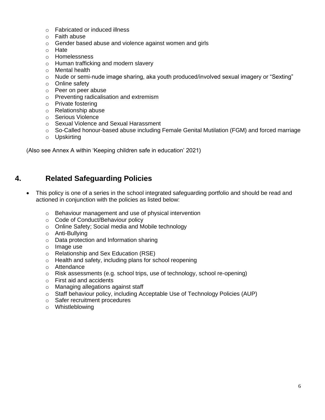- o Fabricated or induced illness
- o Faith abuse
- o Gender based abuse and violence against women and girls
- o Hate
- o Homelessness
- o Human trafficking and modern slavery
- o Mental health
- $\circ$  Nude or semi-nude image sharing, aka youth produced/involved sexual imagery or "Sexting"
- o Online safety
- o Peer on peer abuse
- o Preventing radicalisation and extremism
- o Private fostering
- o Relationship abuse
- o Serious Violence
- o Sexual Violence and Sexual Harassment
- o So-Called honour-based abuse including Female Genital Mutilation (FGM) and forced marriage
- o Upskirting

(Also see Annex A within 'Keeping children safe in education' 2021)

## **4. Related Safeguarding Policies**

- This policy is one of a series in the school integrated safeguarding portfolio and should be read and actioned in conjunction with the policies as listed below:
	- o Behaviour management and use of physical intervention
	- o Code of Conduct/Behaviour policy
	- o Online Safety; Social media and Mobile technology
	- o Anti-Bullying
	- o Data protection and Information sharing
	- o Image use
	- o Relationship and Sex Education (RSE)
	- o Health and safety, including plans for school reopening
	- o Attendance
	- o Risk assessments (e.g. school trips, use of technology, school re-opening)
	- o First aid and accidents
	- o Managing allegations against staff
	- o Staff behaviour policy, including Acceptable Use of Technology Policies (AUP)
	- o Safer recruitment procedures
	- o Whistleblowing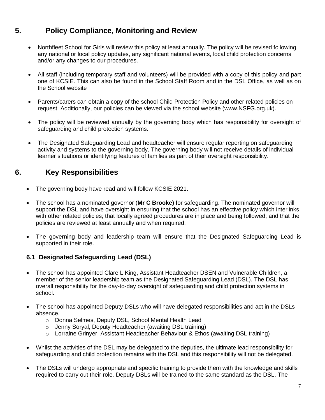## **5. Policy Compliance, Monitoring and Review**

- Northfleet School for Girls will review this policy at least annually. The policy will be revised following any national or local policy updates, any significant national events, local child protection concerns and/or any changes to our procedures.
- All staff (including temporary staff and volunteers) will be provided with a copy of this policy and part one of KCSIE. This can also be found in the School Staff Room and in the DSL Office, as well as on the School website
- Parents/carers can obtain a copy of the school Child Protection Policy and other related policies on request. Additionally, our policies can be viewed via the school website (www.NSFG.org.uk).
- The policy will be reviewed annually by the governing body which has responsibility for oversight of safeguarding and child protection systems.
- The Designated Safeguarding Lead and headteacher will ensure regular reporting on safeguarding activity and systems to the governing body. The governing body will not receive details of individual learner situations or identifying features of families as part of their oversight responsibility.

## **6. Key Responsibilities**

- The governing body have read and will follow KCSIE 2021.
- The school has a nominated governor (**Mr C Brooke)** for safeguarding. The nominated governor will support the DSL and have oversight in ensuring that the school has an effective policy which interlinks with other related policies; that locally agreed procedures are in place and being followed; and that the policies are reviewed at least annually and when required.
- The governing body and leadership team will ensure that the Designated Safeguarding Lead is supported in their role.

#### **6.1 Designated Safeguarding Lead (DSL)**

- The school has appointed Clare L King, Assistant Headteacher DSEN and Vulnerable Children, a member of the senior leadership team as the Designated Safeguarding Lead (DSL). The DSL has overall responsibility for the day-to-day oversight of safeguarding and child protection systems in school.
- The school has appointed Deputy DSLs who will have delegated responsibilities and act in the DSLs absence.
	- o Donna Selmes, Deputy DSL, School Mental Health Lead
	- o Jenny Soryal, Deputy Headteacher (awaiting DSL training)
	- $\circ$  Lorraine Grinyer, Assistant Headteacher Behaviour & Ethos (awaiting DSL training)
- Whilst the activities of the DSL may be delegated to the deputies, the ultimate lead responsibility for safeguarding and child protection remains with the DSL and this responsibility will not be delegated.
- The DSLs will undergo appropriate and specific training to provide them with the knowledge and skills required to carry out their role. Deputy DSLs will be trained to the same standard as the DSL. The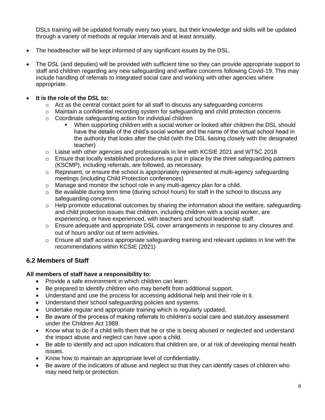DSLs training will be updated formally every two years, but their knowledge and skills will be updated through a variety of methods at regular intervals and at least annually.

- The headteacher will be kept informed of any significant issues by the DSL.
- The DSL (and deputies) will be provided with sufficient time so they can provide appropriate support to staff and children regarding any new safeguarding and welfare concerns following Covid-19. This may include handling of referrals to integrated social care and working with other agencies where appropriate.

#### • **It is the role of the DSL to:**

- $\circ$  Act as the central contact point for all staff to discuss any safeguarding concerns
- $\circ$  Maintain a confidential recording system for safeguarding and child protection concerns
- o Coordinate safeguarding action for individual children
	- When supporting children with a social worker or looked after children the DSL should have the details of the child's social worker and the name of the virtual school head in the authority that looks after the child (with the DSL liaising closely with the designated teacher)
- o Liaise with other agencies and professionals in line with KCSIE 2021 and WTSC 2018
- $\circ$  Ensure that locally established procedures as put in place by the three safeguarding partners (KSCMP), including referrals, are followed, as necessary.
- $\circ$  Represent, or ensure the school is appropriately represented at multi-agency safeguarding meetings (including Child Protection conferences)
- o Manage and monitor the school role in any multi-agency plan for a child.
- $\circ$  Be available during term time (during school hours) for staff in the school to discuss any safeguarding concerns.
- $\circ$  Help promote educational outcomes by sharing the information about the welfare, safeguarding and child protection issues that children, including children with a social worker, are experiencing, or have experienced, with teachers and school leadership staff.
- $\circ$  Ensure adequate and appropriate DSL cover arrangements in response to any closures and out of hours and/or out of term activities.
- $\circ$  Ensure all staff access appropriate safeguarding training and relevant updates in line with the recommendations within KCSIE (2021)

## **6.2 Members of Staff**

#### **All members of staff have a responsibility to:**

- Provide a safe environment in which children can learn.
- Be prepared to identify children who may benefit from additional support.
- Understand and use the process for accessing additional help and their role in it.
- Understand their school safeguarding policies and systems.
- Undertake regular and appropriate training which is regularly updated.
- Be aware of the process of making referrals to children's social care and statutory assessment under the Children Act 1989.
- Know what to do if a child tells them that he or she is being abused or neglected and understand the impact abuse and neglect can have upon a child.
- Be able to identify and act upon indicators that children are, or at risk of developing mental health issues.
- Know how to maintain an appropriate level of confidentiality.
- Be aware of the indicators of abuse and neglect so that they can identify cases of children who may need help or protection.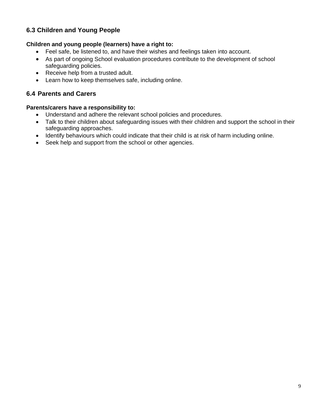## **6.3 Children and Young People**

#### **Children and young people (learners) have a right to:**

- Feel safe, be listened to, and have their wishes and feelings taken into account.
- As part of ongoing School evaluation procedures contribute to the development of school safeguarding policies.
- Receive help from a trusted adult.
- Learn how to keep themselves safe, including online.

#### **6.4 Parents and Carers**

#### **Parents/carers have a responsibility to:**

- Understand and adhere the relevant school policies and procedures.
- Talk to their children about safeguarding issues with their children and support the school in their safeguarding approaches.
- Identify behaviours which could indicate that their child is at risk of harm including online.
- Seek help and support from the school or other agencies.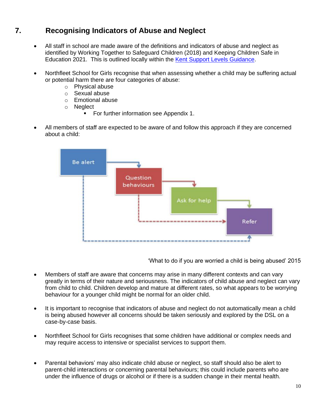## **7. Recognising Indicators of Abuse and Neglect**

- All staff in school are made aware of the definitions and indicators of abuse and neglect as identified by Working Together to Safeguard Children (2018) and Keeping Children Safe in Education 2021. This is outlined locally within the [Kent Support Levels Guidance.](https://www.kscmp.org.uk/guidance/kent-support-levels-guidance)
- Northfleet School for Girls recognise that when assessing whether a child may be suffering actual or potential harm there are four categories of abuse:
	- o Physical abuse
	- o Sexual abuse
	- o Emotional abuse
	- o Neglect
		- For further information see Appendix 1.
- All members of staff are expected to be aware of and follow this approach if they are concerned about a child:



'What to do if you are worried a child is being abused' 2015

- Members of staff are aware that concerns may arise in many different contexts and can vary greatly in terms of their nature and seriousness. The indicators of child abuse and neglect can vary from child to child. Children develop and mature at different rates, so what appears to be worrying behaviour for a younger child might be normal for an older child.
- It is important to recognise that indicators of abuse and neglect do not automatically mean a child is being abused however all concerns should be taken seriously and explored by the DSL on a case-by-case basis.
- Northfleet School for Girls recognises that some children have additional or complex needs and may require access to intensive or specialist services to support them.
- Parental behaviors' may also indicate child abuse or neglect, so staff should also be alert to parent-child interactions or concerning parental behaviours; this could include parents who are under the influence of drugs or alcohol or if there is a sudden change in their mental health.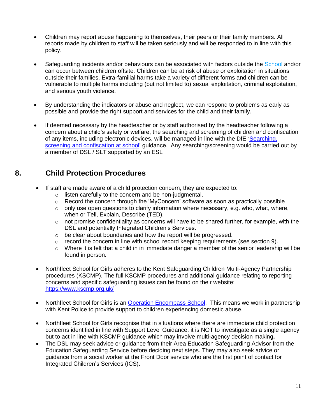- Children may report abuse happening to themselves, their peers or their family members. All reports made by children to staff will be taken seriously and will be responded to in line with this policy.
- Safeguarding incidents and/or behaviours can be associated with factors outside the School and/or can occur between children offsite. Children can be at risk of abuse or exploitation in situations outside their families. Extra-familial harms take a variety of different forms and children can be vulnerable to multiple harms including (but not limited to) sexual exploitation, criminal exploitation, and serious youth violence.
- By understanding the indicators or abuse and neglect, we can respond to problems as early as possible and provide the right support and services for the child and their family.
- If deemed necessary by the headteacher or by staff authorised by the headteacher following a concern about a child's safety or welfare, the searching and screening of children and confiscation of any items, including electronic devices, will be managed in line with the DfE '[Searching,](https://www.gov.uk/government/publications/searching-screening-and-confiscation)  [screening and confiscation at school'](https://www.gov.uk/government/publications/searching-screening-and-confiscation) guidance. Any searching/screening would be carried out by a member of DSL / SLT supported by an ESL

## **8. Child Protection Procedures**

- If staff are made aware of a child protection concern, they are expected to:
	- o listen carefully to the concern and be non-judgmental.
	- o Record the concern through the 'MyConcern' software as soon as practically possible
	- $\circ$  only use open questions to clarify information where necessary, e.g. who, what, where, when or Tell, Explain, Describe (TED).
	- $\circ$  not promise confidentiality as concerns will have to be shared further, for example, with the DSL and potentially Integrated Children's Services.
	- o be clear about boundaries and how the report will be progressed.
	- o record the concern in line with school record keeping requirements (see section 9).
	- $\circ$  Where it is felt that a child in in immediate danger a member of the senior leadership will be found in person.
	- Northfleet School for Girls adheres to the Kent Safeguarding Children Multi-Agency Partnership procedures (KSCMP). The full KSCMP procedures and additional guidance relating to reporting concerns and specific safeguarding issues can be found on their website: <https://www.kscmp.org.uk/>
	- Northfleet School for Girls is an [Operation Encompass School.](https://www.operationencompass.org/) This means we work in partnership with Kent Police to provide support to children experiencing domestic abuse.
	- Northfleet School for Girls recognise that in situations where there are immediate child protection concerns identified in line with Support Level Guidance, it is NOT to investigate as a single agency but to act in line with KSCMP guidance which may involve multi-agency decision making**.**
	- The DSL may seek advice or guidance from their Area Education Safeguarding Advisor from the Education Safeguarding Service before deciding next steps. They may also seek advice or guidance from a social worker at the Front Door service who are the first point of contact for Integrated Children's Services (ICS).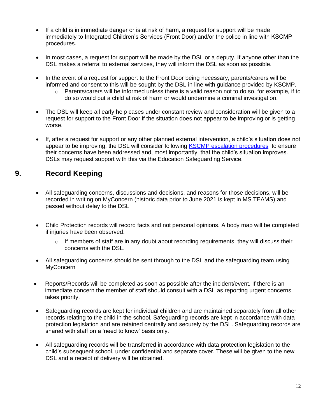- If a child is in immediate danger or is at risk of harm, a request for support will be made immediately to Integrated Children's Services (Front Door) and/or the police in line with KSCMP procedures.
- In most cases, a request for support will be made by the DSL or a deputy. If anyone other than the DSL makes a referral to external services, they will inform the DSL as soon as possible.
- In the event of a request for support to the Front Door being necessary, parents/carers will be informed and consent to this will be sought by the DSL in line with guidance provided by KSCMP.
	- $\circ$  Parents/carers will be informed unless there is a valid reason not to do so, for example, if to do so would put a child at risk of harm or would undermine a criminal investigation.
- The DSL will keep all early help cases under constant review and consideration will be given to a request for support to the Front Door if the situation does not appear to be improving or is getting worse.
- If, after a request for support or any other planned external intervention, a child's situation does not appear to be improving, the DSL will consider following **KSCMP** escalation procedures to ensure their concerns have been addressed and, most importantly, that the child's situation improves. DSLs may request support with this via the Education Safeguarding Service.

## **9. Record Keeping**

- All safeguarding concerns, discussions and decisions, and reasons for those decisions, will be recorded in writing on MyConcern (historic data prior to June 2021 is kept in MS TEAMS) and passed without delay to the DSL
- Child Protection records will record facts and not personal opinions. A body map will be completed if injuries have been observed.
	- $\circ$  If members of staff are in any doubt about recording requirements, they will discuss their concerns with the DSL.
- All safeguarding concerns should be sent through to the DSL and the safeguarding team using **MyConcern**
- Reports/Records will be completed as soon as possible after the incident/event. If there is an immediate concern the member of staff should consult with a DSL as reporting urgent concerns takes priority.
- Safeguarding records are kept for individual children and are maintained separately from all other records relating to the child in the school. Safeguarding records are kept in accordance with data protection legislation and are retained centrally and securely by the DSL. Safeguarding records are shared with staff on a 'need to know' basis only.
- All safeguarding records will be transferred in accordance with data protection legislation to the child's subsequent school, under confidential and separate cover. These will be given to the new DSL and a receipt of delivery will be obtained.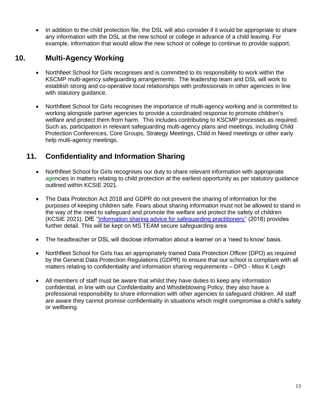• In addition to the child protection file, the DSL will also consider if it would be appropriate to share any information with the DSL at the new school or college in advance of a child leaving. For example, information that would allow the new school or college to continue to provide support.

## **10. Multi-Agency Working**

- Northfleet School for Girls recognises and is committed to its responsibility to work within the KSCMP multi-agency safeguarding arrangements. The leadership team and DSL will work to establish strong and co-operative local relationships with professionals in other agencies in line with statutory guidance.
- Northfleet School for Girls recognises the importance of multi-agency working and is committed to working alongside partner agencies to provide a coordinated response to promote children's welfare and protect them from harm. This includes contributing to KSCMP processes as required. Such as, participation in relevant safeguarding multi-agency plans and meetings, including Child Protection Conferences, Core Groups, Strategy Meetings, Child in Need meetings or other early help multi-agency meetings.

## **11. Confidentiality and Information Sharing**

- Northfleet School for Girls recognises our duty to share relevant information with appropriate *age*ncies in matters relating to child protection at the earliest opportunity as per statutory guidance outlined within KCSIE 2021.
- The Data Protection Act 2018 and GDPR do not prevent the sharing of information for the purposes of keeping children safe. Fears about sharing information must not be allowed to stand in the way of the need to safeguard and promote the welfare and protect the safety of children (KCSIE 2021). DfE [''Information sharing advice for safeguarding practitioners''](https://www.gov.uk/government/publications/safeguarding-practitioners-information-sharing-advice) (2018) provides further detail. This will be kept on MS TEAM secure safeguarding area
- The headteacher or DSL will disclose information about a learner on a 'need to know' basis.
- Northfleet School for Girls has an appropriately trained Data Protection Officer (DPO) as required by the General Data Protection Regulations (GDPR) to ensure that our school is compliant with all matters relating to confidentiality and information sharing requirements – DPO - Miss K Leigh
- All members of staff must be aware that whilst they have duties to keep any information confidential, in line with our Confidentiality and Whistleblowing Policy, they also have a professional responsibility to share information with other agencies to safeguard children. All staff are aware they cannot promise confidentiality in situations which might compromise a child's safety or wellbeing.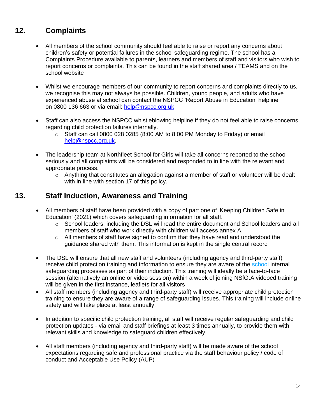## **12. Complaints**

- All members of the school community should feel able to raise or report any concerns about children's safety or potential failures in the school safeguarding regime. The school has a Complaints Procedure available to parents, learners and members of staff and visitors who wish to report concerns or complaints. This can be found in the staff shared area / TEAMS and on the school website
- Whilst we encourage members of our community to report concerns and complaints directly to us, we recognise this may not always be possible. Children, young people, and adults who have experienced abuse at school can contact the NSPCC 'Report Abuse in Education' helpline on [0800 136 663](tel:0800%20136%20663) or via email: [help@nspcc.org.uk](mailto:help@nspcc.org.uk)
- Staff can also access the NSPCC whistleblowing helpline if they do not feel able to raise concerns regarding child protection failures internally.
	- $\circ$  Staff can call 0800 028 0285 (8:00 AM to 8:00 PM Monday to Friday) or email [help@nspcc.org.uk.](mailto:help@nspcc.org.uk)
- The leadership team at Northfleet School for Girls will take all concerns reported to the school seriously and all complaints will be considered and responded to in line with the relevant and appropriate process.
	- o Anything that constitutes an allegation against a member of staff or volunteer will be dealt with in line with section 17 of this policy.

## **13. Staff Induction, Awareness and Training**

- All members of staff have been provided with a copy of part one of 'Keeping Children Safe in Education' (2021) which covers safeguarding information for all staff.
	- o School leaders, including the DSL will read the entire document and School leaders and all members of staff who work directly with children will access annex A.
	- $\circ$  All members of staff have signed to confirm that they have read and understood the guidance shared with them. This information is kept in the single central record
- The DSL will ensure that all new staff and volunteers (including agency and third-party staff) receive child protection training and information to ensure they are aware of the school internal safeguarding processes as part of their induction. This training will ideally be a face-to-face session (alternatively an online or video session) within a week of joining NSfG.A videoed training will be given in the first instance, leaflets for all visitors
- All staff members (including agency and third-party staff) will receive appropriate child protection training to ensure they are aware of a range of safeguarding issues. This training will include online safety and will take place at least annually.
- In addition to specific child protection training, all staff will receive regular safeguarding and child protection updates - via email and staff briefings at least 3 times annually, to provide them with relevant skills and knowledge to safeguard children effectively.
- All staff members (including agency and third-party staff) will be made aware of the school expectations regarding safe and professional practice via the staff behaviour policy / code of conduct and Acceptable Use Policy (AUP)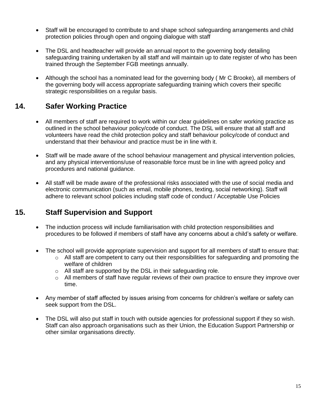- Staff will be encouraged to contribute to and shape school safeguarding arrangements and child protection policies through open and ongoing dialogue with staff
- The DSL and headteacher will provide an annual report to the governing body detailing safeguarding training undertaken by all staff and will maintain up to date register of who has been trained through the September FGB meetings annually.
- Although the school has a nominated lead for the governing body ( Mr C Brooke), all members of the governing body will access appropriate safeguarding training which covers their specific strategic responsibilities on a regular basis.

## **14. Safer Working Practice**

- All members of staff are required to work within our clear guidelines on safer working practice as outlined in the school behaviour policy/code of conduct. The DSL will ensure that all staff and volunteers have read the child protection policy and staff behaviour policy/code of conduct and understand that their behaviour and practice must be in line with it.
- Staff will be made aware of the school behaviour management and physical intervention policies*,*  and any physical interventions/use of reasonable force must be in line with agreed policy and procedures and national guidance.
- All staff will be made aware of the professional risks associated with the use of social media and electronic communication (such as email, mobile phones, texting, social networking). Staff will adhere to relevant school policies including staff code of conduct / Acceptable Use Policies

## **15. Staff Supervision and Support**

- The induction process will include familiarisation with child protection responsibilities and procedures to be followed if members of staff have any concerns about a child's safety or welfare.
- The school will provide appropriate supervision and support for all members of staff to ensure that:
	- $\circ$  All staff are competent to carry out their responsibilities for safeguarding and promoting the welfare of children
	- o All staff are supported by the DSL in their safeguarding role.
	- $\circ$  All members of staff have regular reviews of their own practice to ensure they improve over time.
- Any member of staff affected by issues arising from concerns for children's welfare or safety can seek support from the DSL.
- The DSL will also put staff in touch with outside agencies for professional support if they so wish. Staff can also approach organisations such as their Union, the Education Support Partnership or other similar organisations directly.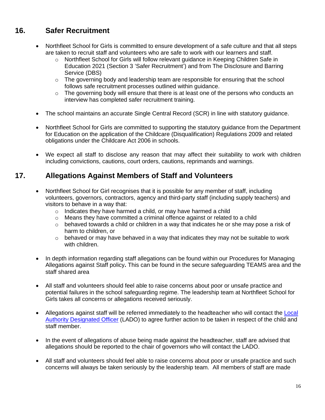## **16. Safer Recruitment**

- Northfleet School for Girls is committed to ensure development of a safe culture and that all steps are taken to recruit staff and volunteers who are safe to work with our learners and staff.
	- o Northfleet School for Girls will follow relevant guidance in Keeping Children Safe in Education 2021 (Section 3 'Safer Recruitment') and from The Disclosure and Barring Service (DBS)
	- $\circ$  The governing body and leadership team are responsible for ensuring that the school follows safe recruitment processes outlined within guidance.
	- $\circ$  The governing body will ensure that there is at least one of the persons who conducts an interview has completed safer recruitment training.
- The school maintains an accurate Single Central Record (SCR) in line with statutory guidance.
- Northfleet School for Girls are committed to supporting the statutory guidance from the Department for Education on the application of the Childcare (Disqualification) Regulations 2009 and related obligations under the Childcare Act 2006 in schools.
- We expect all staff to disclose any reason that may affect their suitability to work with children including convictions, cautions, court orders, cautions, reprimands and warnings.

## **17. Allegations Against Members of Staff and Volunteers**

- Northfleet School for Girl recognises that it is possible for any member of staff, including volunteers, governors, contractors, agency and third-party staff (including supply teachers) and visitors to behave in a way that:
	- o Indicates they have harmed a child, or may have harmed a child
	- $\circ$  Means they have committed a criminal offence against or related to a child
	- o behaved towards a child or children in a way that indicates he or she may pose a risk of harm to children, or
	- $\circ$  behaved or may have behaved in a way that indicates they may not be suitable to work with children.
- In depth information regarding staff allegations can be found within our Procedures for Managing Allegations against Staff policy**.** This can be found in the secure safeguarding TEAMS area and the staff shared area
- All staff and volunteers should feel able to raise concerns about poor or unsafe practice and potential failures in the school safeguarding regime. The leadership team at Northfleet School for Girls takes all concerns or allegations received seriously.
- Allegations against staff will be referred immediately to the headteacher who will contact the Local [Authority Designated Officer](https://www.kscmp.org.uk/procedures/local-authority-designated-officer-lado) (LADO) to agree further action to be taken in respect of the child and staff member.
- In the event of allegations of abuse being made against the headteacher, staff are advised that allegations should be reported to the chair of governors who will contact the LADO.
- All staff and volunteers should feel able to raise concerns about poor or unsafe practice and such concerns will always be taken seriously by the leadership team. All members of staff are made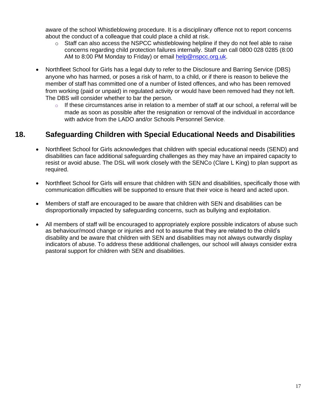aware of the school Whistleblowing procedure. It is a disciplinary offence not to report concerns about the conduct of a colleague that could place a child at risk.

- $\circ$  Staff can also access the NSPCC whistleblowing helpline if they do not feel able to raise concerns regarding child protection failures internally. Staff can call 0800 028 0285 (8:00 AM to 8:00 PM Monday to Friday) or email [help@nspcc.org.uk.](mailto:help@nspcc.org.uk)
- Northfleet School for Girls has a legal duty to refer to the Disclosure and Barring Service (DBS) anyone who has harmed, or poses a risk of harm, to a child, or if there is reason to believe the member of staff has committed one of a number of listed offences, and who has been removed from working (paid or unpaid) in regulated activity or would have been removed had they not left. The DBS will consider whether to bar the person.
	- $\circ$  If these circumstances arise in relation to a member of staff at our school, a referral will be made as soon as possible after the resignation or removal of the individual in accordance with advice from the LADO and/or Schools Personnel Service

## **18. Safeguarding Children with Special Educational Needs and Disabilities**

- Northfleet School for Girls acknowledges that children with special educational needs (SEND) and disabilities can face additional safeguarding challenges as they may have an impaired capacity to resist or avoid abuse. The DSL will work closely with the SENCo (Clare L King) to plan support as required.
- Northfleet School for Girls will ensure that children with SEN and disabilities, specifically those with communication difficulties will be supported to ensure that their voice is heard and acted upon.
- Members of staff are encouraged to be aware that children with SEN and disabilities can be disproportionally impacted by safeguarding concerns, such as bullying and exploitation.
- All members of staff will be encouraged to appropriately explore possible indicators of abuse such as behaviour/mood change or injuries and not to assume that they are related to the child's disability and be aware that children with SEN and disabilities may not always outwardly display indicators of abuse. To address these additional challenges, our school will always consider extra pastoral support for children with SEN and disabilities.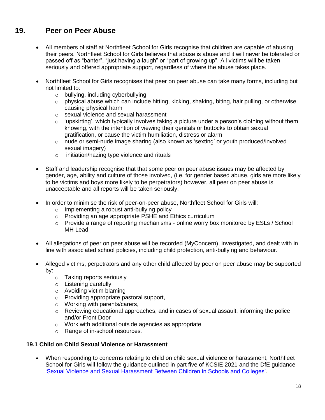## **19. Peer on Peer Abuse**

- All members of staff at Northfleet School for Girls recognise that children are capable of abusing their peers. Northfleet School for Girls believes that abuse is abuse and it will never be tolerated or passed off as "banter", "just having a laugh" or "part of growing up". All victims will be taken seriously and offered appropriate support, regardless of where the abuse takes place.
- Northfleet School for Girls recognises that peer on peer abuse can take many forms, including but not limited to:
	- o bullying, including cyberbullying
	- o physical abuse which can include hitting, kicking, shaking, biting, hair pulling, or otherwise causing physical harm
	- o sexual violence and sexual harassment
	- $\circ$  'upskirting', which typically involves taking a picture under a person's clothing without them knowing, with the intention of viewing their genitals or buttocks to obtain sexual gratification, or cause the victim humiliation, distress or alarm
	- $\circ$  nude or semi-nude image sharing (also known as 'sexting' or youth produced/involved sexual imagery)
	- o initiation/hazing type violence and rituals
- Staff and leadership recognise that that some peer on peer abuse issues may be affected by gender, age, ability and culture of those involved, (i.e. for gender based abuse, girls are more likely to be victims and boys more likely to be perpetrators) however, all peer on peer abuse is unacceptable and all reports will be taken seriously.
- In order to minimise the risk of peer-on-peer abuse, Northfleet School for Girls will:
	- o Implementing a robust anti-bullying policy
	- o Providing an age appropriate PSHE and Ethics curriculum
	- $\circ$  Provide a range of reporting mechanisms online worry box monitored by ESLs / School MH Lead
- All allegations of peer on peer abuse will be recorded (MyConcern), investigated, and dealt with in line with associated school policies, including child protection, anti-bullying and behaviour.
- Alleged victims, perpetrators and any other child affected by peer on peer abuse may be supported by:
	- o Taking reports seriously
	- o Listening carefully
	- o Avoiding victim blaming
	- o Providing appropriate pastoral support,
	- o Working with parents/carers,
	- $\circ$  Reviewing educational approaches, and in cases of sexual assault, informing the police and/or Front Door
	- o Work with additional outside agencies as appropriate
	- o Range of in-school resources*.*

#### **19.1 Child on Child Sexual Violence or Harassment**

• When responding to concerns relating to child on child sexual violence or harassment, Northfleet School for Girls will follow the guidance outlined in part five of KCSIE 2021 and the DfE guidance ['Sexual Violence and Sexual Harassment Between Children in Schools and Colleges'.](https://www.gov.uk/government/publications/sexual-violence-and-sexual-harassment-between-children-in-schools-and-colleges)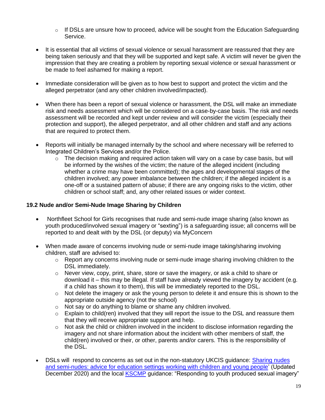- $\circ$  If DSLs are unsure how to proceed, advice will be sought from the Education Safeguarding Service.
- It is essential that all victims of sexual violence or sexual harassment are reassured that they are being taken seriously and that they will be supported and kept safe. A victim will never be given the impression that they are creating a problem by reporting sexual violence or sexual harassment or be made to feel ashamed for making a report.
- Immediate consideration will be given as to how best to support and protect the victim and the alleged perpetrator (and any other children involved/impacted).
- When there has been a report of sexual violence or harassment, the DSL will make an immediate risk and needs assessment which will be considered on a case-by-case basis. The risk and needs assessment will be recorded and kept under review and will consider the victim (especially their protection and support), the alleged perpetrator, and all other children and staff and any actions that are required to protect them.
- Reports will initially be managed internally by the school and where necessary will be referred to Integrated Children's Services and/or the Police.
	- $\circ$  The decision making and required action taken will vary on a case by case basis, but will be informed by the wishes of the victim; the nature of the alleged incident (including whether a crime may have been committed); the ages and developmental stages of the children involved; any power imbalance between the children; if the alleged incident is a one-off or a sustained pattern of abuse; if there are any ongoing risks to the victim, other children or school staff; and, any other related issues or wider context.

#### **19.2 Nude and/or Semi-Nude Image Sharing by Children**

- Northfleet School for Girls recognises that nude and semi-nude image sharing (also known as youth produced/involved sexual imagery or "sexting") is a safeguarding issue; all concerns will be reported to and dealt with by the DSL (or deputy) via MyConcern
- When made aware of concerns involving nude or semi-nude image taking/sharing involving children, staff are advised to:
	- $\circ$  Report any concerns involving nude or semi-nude image sharing involving children to the DSL immediately.
	- o Never view, copy, print, share, store or save the imagery, or ask a child to share or download it – this may be illegal. If staff have already viewed the imagery by accident (e.g. if a child has shown it to them), this will be immediately reported to the DSL.
	- $\circ$  Not delete the imagery or ask the young person to delete it and ensure this is shown to the appropriate outside agency (not the school)
	- o Not say or do anything to blame or shame any children involved.
	- $\circ$  Explain to child(ren) involved that they will report the issue to the DSL and reassure them that they will receive appropriate support and help.
	- o Not ask the child or children involved in the incident to disclose information regarding the imagery and not share information about the incident with other members of staff, the child(ren) involved or their, or other, parents and/or carers. This is the responsibility of the DSL.
- DSLs will respond to concerns as set out in the non-statutory UKCIS guidance: Sharing nudes [and semi-nudes: advice for education settings working with children and young people'](https://www.gov.uk/government/publications/sharing-nudes-and-semi-nudes-advice-for-education-settings-working-with-children-and-young-people) (Updated December 2020) and the local **KSCMP** guidance: "Responding to youth produced sexual imagery"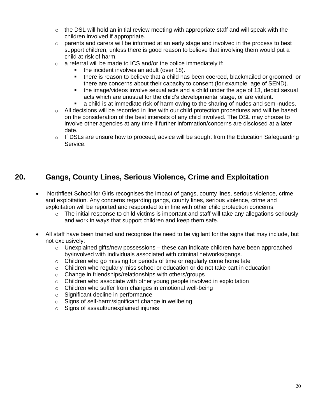- $\circ$  the DSL will hold an initial review meeting with appropriate staff and will speak with the children involved if appropriate.
- $\circ$  parents and carers will be informed at an early stage and involved in the process to best support children, unless there is good reason to believe that involving them would put a child at risk of harm.
- $\circ$  a referral will be made to ICS and/or the police immediately if:
	- the incident involves an adult (over 18).
	- there is reason to believe that a child has been coerced, blackmailed or groomed, or there are concerns about their capacity to consent (for example, age of SEND).
	- the image/videos involve sexual acts and a child under the age of 13, depict sexual acts which are unusual for the child's developmental stage, or are violent.
	- a child is at immediate risk of harm owing to the sharing of nudes and semi-nudes.
- $\circ$  All decisions will be recorded in line with our child protection procedures and will be based on the consideration of the best interests of any child involved. The DSL may choose to involve other agencies at any time if further information/concerns are disclosed at a later date.
- $\circ$  If DSLs are unsure how to proceed, advice will be sought from the Education Safeguarding Service.

## **20. Gangs, County Lines, Serious Violence, Crime and Exploitation**

- Northfleet School for Girls recognises the impact of gangs, county lines, serious violence, crime and exploitation. Any concerns regarding gangs, county lines, serious violence, crime and exploitation will be reported and responded to in line with other child protection concerns.
	- $\circ$  The initial response to child victims is important and staff will take any allegations seriously and work in ways that support children and keep them safe.
- All staff have been trained and recognise the need to be vigilant for the signs that may include, but not exclusively:
	- $\circ$  Unexplained gifts/new possessions these can indicate children have been approached by/involved with individuals associated with criminal networks/gangs.
	- o Children who go missing for periods of time or regularly come home late
	- $\circ$  Children who regularly miss school or education or do not take part in education
	- o Change in friendships/relationships with others/groups
	- o Children who associate with other young people involved in exploitation
	- o Children who suffer from changes in emotional well-being
	- o Significant decline in performance
	- o Signs of self-harm/significant change in wellbeing
	- o Signs of assault/unexplained injuries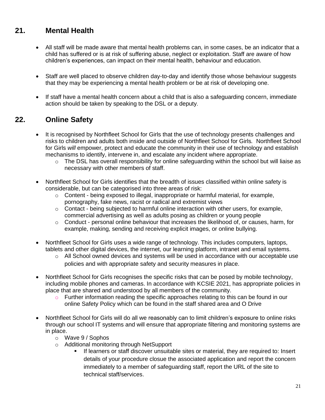## **21. Mental Health**

- All staff will be made aware that mental health problems can, in some cases, be an indicator that a child has suffered or is at risk of suffering abuse, neglect or exploitation. Staff are aware of how children's experiences, can impact on their mental health, behaviour and education.
- Staff are well placed to observe children day-to-day and identify those whose behaviour suggests that they may be experiencing a mental health problem or be at risk of developing one.
- If staff have a mental health concern about a child that is also a safeguarding concern, immediate action should be taken by speaking to the DSL or a deputy.

## **22. Online Safety**

- It is recognised by Northfleet School for Girls that the use of technology presents challenges and risks to children and adults both inside and outside of Northfleet School for Girls*.* Northfleet School for Girls *will* empower, protect and educate the community in their use of technology and establish mechanisms to identify, intervene in, and escalate any incident where appropriate.
	- $\circ$  The DSL has overall responsibility for online safeguarding within the school but will liaise as necessary with other members of staff.
- Northfleet School for Girls identifies that the breadth of issues classified within online safety is considerable, but can be categorised into three areas of risk:
	- o Content being exposed to illegal, inappropriate or harmful material, for example, pornography, fake news, racist or radical and extremist views
	- $\circ$  Contact being subjected to harmful online interaction with other users, for example, commercial advertising as well as adults posing as children or young people
	- $\circ$  Conduct personal online behaviour that increases the likelihood of, or causes, harm, for example, making, sending and receiving explicit images, or online bullying.
- Northfleet School for Girls uses a wide range of technology. This includes computers, laptops, tablets and other digital devices, the internet, our learning platform, intranet and email systems.
	- $\circ$  All School owned devices and systems will be used in accordance with our acceptable use policies and with appropriate safety and security measures in place.
- Northfleet School for Girls recognises the specific risks that can be posed by mobile technology, including mobile phones and cameras. In accordance with KCSIE 2021, has appropriate policies in place that are shared and understood by all members of the community.
	- o Further information reading the specific approaches relating to this can be found in our online Safety Policy which can be found in the staff shared area and O Drive
- Northfleet School for Girls will do all we reasonably can to limit children's exposure to online risks through our school IT systems and will ensure that appropriate filtering and monitoring systems are in place.
	- o Wave 9 / Sophos
	- o Additional monitoring through NetSupport
		- If learners or staff discover unsuitable sites or material, they are required to: Insert details of your procedure closue the associated application and report the concern immediately to a member of safeguarding staff, report the URL of the site to technical staff/services.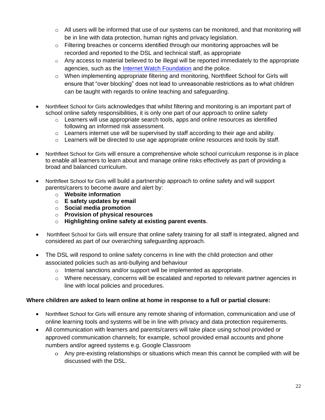- $\circ$  All users will be informed that use of our systems can be monitored, and that monitoring will be in line with data protection, human rights and privacy legislation.
- $\circ$  Filtering breaches or concerns identified through our monitoring approaches will be recorded and reported to the DSL and technical staff, as appropriate
- $\circ$  Any access to material believed to be illegal will be reported immediately to the appropriate agencies, such as the [Internet Watch Foundation](https://www.iwf.org.uk/) and the police.
- o When implementing appropriate filtering and monitoring, Northfleet School for Girls will ensure that "over blocking" does not lead to unreasonable restrictions as to what children can be taught with regards to online teaching and safeguarding.
- Northfleet School for Girls acknowledges that whilst filtering and monitoring is an important part of school online safety responsibilities, it is only one part of our approach to online safety
	- o Learners will use appropriate search tools, apps and online resources as identified following an informed risk assessment.
	- $\circ$  Learners internet use will be supervised by staff according to their age and ability.
	- $\circ$  Learners will be directed to use age appropriate online resources and tools by staff.
- Northfleet School for Girls will ensure a comprehensive whole school curriculum response is in place to enable all learners to learn about and manage online risks effectively as part of providing a broad and balanced curriculum.
- Northfleet School for Girls will build a partnership approach to online safety and will support parents/carers to become aware and alert by:
	- o **Website information**
	- o **E safety updates by email**
	- o **Social media promotion**
	- o **Provision of physical resources**
	- o **Highlighting online safety at existing parent events.**
- Northfleet School for Girls will ensure that online safety training for all staff is integrated, aligned and considered as part of our overarching safeguarding approach.
- The DSL will respond to online safety concerns in line with the child protection and other associated policies such as anti-bullying and behaviour
	- o Internal sanctions and/or support will be implemented as appropriate.
	- $\circ$  Where necessary, concerns will be escalated and reported to relevant partner agencies in line with local policies and procedures.

#### **Where children are asked to learn online at home in response to a full or partial closure:**

- Northfleet School for Girls will ensure any remote sharing of information, communication and use of online learning tools and systems will be in line with privacy and data protection requirements.
- All communication with learners and parents/carers will take place using school provided or approved communication channels; for example, school provided email accounts and phone numbers and/or agreed systems e.g. Google Classroom
	- Any pre-existing relationships or situations which mean this cannot be complied with will be discussed with the DSL.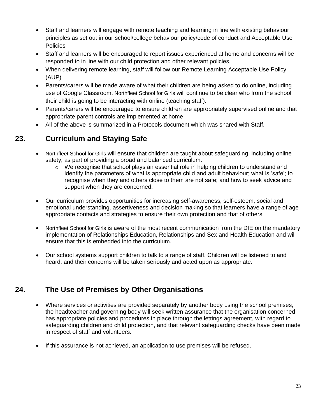- Staff and learners will engage with remote teaching and learning in line with existing behaviour principles as set out in our school/college behaviour policy/code of conduct and Acceptable Use **Policies**
- Staff and learners will be encouraged to report issues experienced at home and concerns will be responded to in line with our child protection and other relevant policies.
- When delivering remote learning, staff will follow our Remote Learning Acceptable Use Policy (AUP)
- Parents/carers will be made aware of what their children are being asked to do online, including use of Google Classroom. Northfleet School for Girls will continue to be clear who from the school their child is going to be interacting with online (teaching staff).
- Parents/carers will be encouraged to ensure children are appropriately supervised online and that appropriate parent controls are implemented at home
- All of the above is summarized in a Protocols document which was shared with Staff.

## **23. Curriculum and Staying Safe**

- Northfleet School for Girls will ensure that children are taught about safeguarding, including online safety, as part of providing a broad and balanced curriculum.
	- $\circ$  We recognise that school plays an essential role in helping children to understand and identify the parameters of what is appropriate child and adult behaviour; what is 'safe'; to recognise when they and others close to them are not safe; and how to seek advice and support when they are concerned.
- Our curriculum provides opportunities for increasing self-awareness, self-esteem, social and emotional understanding, assertiveness and decision making so that learners have a range of age appropriate contacts and strategies to ensure their own protection and that of others.
- Northfleet School for Girls is aware of the most recent communication from the DfE on the mandatory implementation of Relationships Education, Relationships and Sex and Health Education and will ensure that this is embedded into the curriculum.
- Our school systems support children to talk to a range of staff. Children will be listened to and heard, and their concerns will be taken seriously and acted upon as appropriate.

## **24. The Use of Premises by Other Organisations**

- Where services or activities are provided separately by another body using the school premises, the headteacher and governing body will seek written assurance that the organisation concerned has appropriate policies and procedures in place through the lettings agreement, with regard to safeguarding children and child protection, and that relevant safeguarding checks have been made in respect of staff and volunteers.
- If this assurance is not achieved, an application to use premises will be refused.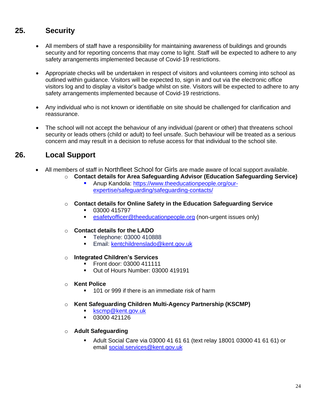## **25. Security**

- All members of staff have a responsibility for maintaining awareness of buildings and grounds security and for reporting concerns that may come to light. Staff will be expected to adhere to any safety arrangements implemented because of Covid-19 restrictions.
- Appropriate checks will be undertaken in respect of visitors and volunteers coming into school as outlined within guidance. Visitors will be expected to, sign in and out via the electronic office visitors log and to display a visitor's badge whilst on site. Visitors will be expected to adhere to any safety arrangements implemented because of Covid-19 restrictions.
- Any individual who is not known or identifiable on site should be challenged for clarification and reassurance.
- The school will not accept the behaviour of any individual (parent or other) that threatens school security or leads others (child or adult) to feel unsafe. Such behaviour will be treated as a serious concern and may result in a decision to refuse access for that individual to the school site.

## **26. Local Support**

- All members of staff in Northfleet School for Girls are made aware of local support available.
	- o **Contact details for Area Safeguarding Advisor (Education Safeguarding Service)**
		- Anup Kandola: [https://www.theeducationpeople.org/our](https://www.theeducationpeople.org/our-expertise/safeguarding/safeguarding-contacts/)[expertise/safeguarding/safeguarding-contacts/](https://www.theeducationpeople.org/our-expertise/safeguarding/safeguarding-contacts/)
	- o **Contact details for Online Safety in the Education Safeguarding Service**
		- 03000 415797
		- **Example 3 and 5 and 5 and 5 and 5 and 5 and 5 and 5 and 5 and 5 and 5 and 5 and 5 and 5 and 6 and 6 and 6 and 6 and 6 and 6 and 6 and 6 and 6 and 6 and 6 and 6 and 6 and 6 and 6 and 6 and 6 and 6 and 6 and 6 and 6 and 6 a**
	- o **Contact details for the LADO**
		- Telephone: 03000 410888
		- **Email:** [kentchildrenslado@kent.gov.uk](mailto:kentchildrenslado@kent.gov.uk)
	- o **Integrated Children's Services** 
		- Front door: 03000 411111
		- Out of Hours Number: 03000 419191
	- o **Kent Police**
		- 101 or 999 if there is an immediate risk of harm
	- o **Kent Safeguarding Children Multi-Agency Partnership (KSCMP)**
		- [kscmp@kent.gov.uk](mailto:kscmp@kent.gov.uk)
		- 03000 421126
	- o **Adult Safeguarding**
		- Adult Social Care via 03000 41 61 61 (text relay 18001 03000 41 61 61) or email [social.services@kent.gov.uk](mailto:social.services@kent.gov.uk)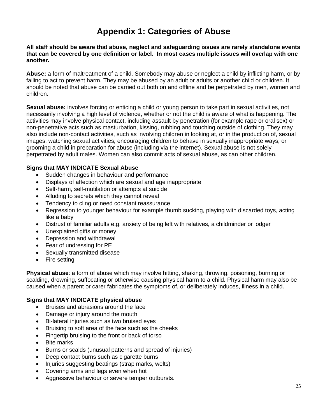## **Appendix 1: Categories of Abuse**

**All staff should be aware that abuse, neglect and safeguarding issues are rarely standalone events that can be covered by one definition or label. In most cases multiple issues will overlap with one another.**

**Abuse:** a form of maltreatment of a child. Somebody may abuse or neglect a child by inflicting harm, or by failing to act to prevent harm. They may be abused by an adult or adults or another child or children. It should be noted that abuse can be carried out both on and offline and be perpetrated by men, women and children.

**Sexual abuse:** involves forcing or enticing a child or young person to take part in sexual activities, not necessarily involving a high level of violence, whether or not the child is aware of what is happening. The activities may involve physical contact, including assault by penetration (for example rape or oral sex) or non-penetrative acts such as masturbation, kissing, rubbing and touching outside of clothing. They may also include non-contact activities, such as involving children in looking at, or in the production of, sexual images, watching sexual activities, encouraging children to behave in sexually inappropriate ways, or grooming a child in preparation for abuse (including via the internet). Sexual abuse is not solely perpetrated by adult males. Women can also commit acts of sexual abuse, as can other children.

#### **Signs that MAY INDICATE Sexual Abuse**

- Sudden changes in behaviour and performance
- Displays of affection which are sexual and age inappropriate
- Self-harm, self-mutilation or attempts at suicide
- Alluding to secrets which they cannot reveal
- Tendency to cling or need constant reassurance
- Regression to younger behaviour for example thumb sucking, playing with discarded toys, acting like a baby
- Distrust of familiar adults e.g. anxiety of being left with relatives, a childminder or lodger
- Unexplained gifts or money
- Depression and withdrawal
- Fear of undressing for PE
- Sexually transmitted disease
- Fire setting

**Physical abuse**: a form of abuse which may involve hitting, shaking, throwing, poisoning, burning or scalding, drowning, suffocating or otherwise causing physical harm to a child. Physical harm may also be caused when a parent or carer fabricates the symptoms of, or deliberately induces, illness in a child.

#### **Signs that MAY INDICATE physical abuse**

- Bruises and abrasions around the face
- Damage or injury around the mouth
- Bi-lateral injuries such as two bruised eyes
- Bruising to soft area of the face such as the cheeks
- Fingertip bruising to the front or back of torso
- Bite marks
- Burns or scalds (unusual patterns and spread of injuries)
- Deep contact burns such as cigarette burns
- Injuries suggesting beatings (strap marks, welts)
- Covering arms and legs even when hot
- Aggressive behaviour or severe temper outbursts.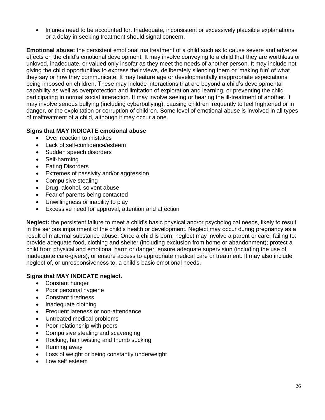• Injuries need to be accounted for. Inadequate, inconsistent or excessively plausible explanations or a delay in seeking treatment should signal concern.

**Emotional abuse:** the persistent emotional maltreatment of a child such as to cause severe and adverse effects on the child's emotional development. It may involve conveying to a child that they are worthless or unloved, inadequate, or valued only insofar as they meet the needs of another person. It may include not giving the child opportunities to express their views, deliberately silencing them or 'making fun' of what they say or how they communicate. It may feature age or developmentally inappropriate expectations being imposed on children. These may include interactions that are beyond a child's developmental capability as well as overprotection and limitation of exploration and learning, or preventing the child participating in normal social interaction. It may involve seeing or hearing the ill-treatment of another. It may involve serious bullying (including cyberbullying), causing children frequently to feel frightened or in danger, or the exploitation or corruption of children. Some level of emotional abuse is involved in all types of maltreatment of a child, although it may occur alone.

#### **Signs that MAY INDICATE emotional abuse**

- Over reaction to mistakes
- Lack of self-confidence/esteem
- Sudden speech disorders
- Self-harming
- **Eating Disorders**
- Extremes of passivity and/or aggression
- Compulsive stealing
- Drug, alcohol, solvent abuse
- Fear of parents being contacted
- Unwillingness or inability to play
- Excessive need for approval, attention and affection

**Neglect:** the persistent failure to meet a child's basic physical and/or psychological needs, likely to result in the serious impairment of the child's health or development. Neglect may occur during pregnancy as a result of maternal substance abuse. Once a child is born, neglect may involve a parent or carer failing to: provide adequate food, clothing and shelter (including exclusion from home or abandonment); protect a child from physical and emotional harm or danger; ensure adequate supervision (including the use of inadequate care-givers); or ensure access to appropriate medical care or treatment. It may also include neglect of, or unresponsiveness to, a child's basic emotional needs.

#### **Signs that MAY INDICATE neglect.**

- Constant hunger
- Poor personal hygiene
- Constant tiredness
- Inadequate clothing
- Frequent lateness or non-attendance
- Untreated medical problems
- Poor relationship with peers
- Compulsive stealing and scavenging
- Rocking, hair twisting and thumb sucking
- Running away
- Loss of weight or being constantly underweight
- Low self esteem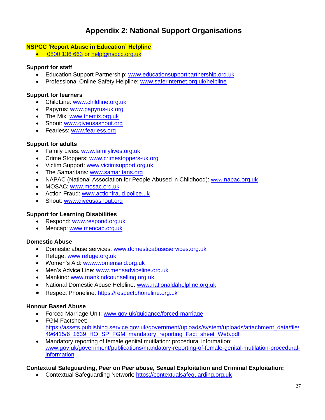## **Appendix 2: National Support Organisations**

#### **NSPCC 'Report Abuse in Education' Helpline**

• [0800 136 663](tel:0800%20136%20663) or [help@nspcc.org.uk](mailto:help@nspcc.org.uk)

#### **Support for staff**

- Education Support Partnership: [www.educationsupportpartnership.org.uk](http://www.educationsupportpartnership.org.uk/)
- Professional Online Safety Helpline: [www.saferinternet.org.uk/helpline](http://www.saferinternet.org.uk/helpline)

#### **Support for learners**

- ChildLine: [www.childline.org.uk](http://www.childline.org.uk/)
- Papyrus: [www.papyrus-uk.org](http://www.papyrus-uk.org/)
- The Mix: [www.themix.org.uk](http://www.themix.org.uk/)
- Shout: [www.giveusashout.org](http://www.giveusashout.org/)
- Fearless: [www.fearless.org](http://www.fearless.org/)

#### **Support for adults**

- Family Lives: [www.familylives.org.uk](http://www.familylives.org.uk/)
- Crime Stoppers: [www.crimestoppers-uk.org](http://www.crimestoppers-uk.org/)
- Victim Support: [www.victimsupport.org.uk](http://www.victimsupport.org.uk/)
- The Samaritans: [www.samaritans.org](http://www.samaritans.org/)
- NAPAC (National Association for People Abused in Childhood): www.napac.org.uk
- MOSAC: [www.mosac.org.uk](http://www.mosac.org.uk/)
- Action Fraud: [www.actionfraud.police.uk](http://www.actionfraud.police.uk/)
- Shout: [www.giveusashout.org](http://www.giveusashout.org/)

#### **Support for Learning Disabilities**

- Respond: [www.respond.org.uk](http://www.respond.org.uk/)
- Mencap: [www.mencap.org.uk](http://www.mencap.org.uk/)

#### **Domestic Abuse**

- Domestic abuse services: [www.domesticabuseservices.org.uk](http://www.domesticabuseservices.org.uk/)
- Refuge: [www.refuge.org.uk](http://www.refuge.org.uk/)
- Women's Aid: [www.womensaid.org.uk](http://www.womensaid.org.uk/)
- Men's Advice Line: [www.mensadviceline.org.uk](http://www.mensadviceline.org.uk/)
- Mankind: [www.mankindcounselling.org.uk](http://www.mankindcounselling.org.uk/)
- National Domestic Abuse Helpline: [www.nationaldahelpline.org.uk](http://www.nationaldahelpline.org.uk/)
- Respect Phoneline: [https://respectphoneline.org.uk](https://respectphoneline.org.uk/)

#### **Honour Based Abuse**

- Forced Marriage Unit: [www.gov.uk/guidance/forced-marriage](http://www.gov.uk/guidance/forced-marriage)
- FGM Factsheet: [https://assets.publishing.service.gov.uk/government/uploads/system/uploads/attachment\\_data/file/](https://assets.publishing.service.gov.uk/government/uploads/system/uploads/attachment_data/file/496415/6_1639_HO_SP_FGM_mandatory_reporting_Fact_sheet_Web.pdf) [496415/6\\_1639\\_HO\\_SP\\_FGM\\_mandatory\\_reporting\\_Fact\\_sheet\\_Web.pdf](https://assets.publishing.service.gov.uk/government/uploads/system/uploads/attachment_data/file/496415/6_1639_HO_SP_FGM_mandatory_reporting_Fact_sheet_Web.pdf)
- Mandatory reporting of female genital mutilation: procedural information: [www.gov.uk/government/publications/mandatory-reporting-of-female-genital-mutilation-procedural](http://www.gov.uk/government/publications/mandatory-reporting-of-female-genital-mutilation-procedural-information)[information](http://www.gov.uk/government/publications/mandatory-reporting-of-female-genital-mutilation-procedural-information)

#### **Contextual Safeguarding, Peer on Peer abuse, Sexual Exploitation and Criminal Exploitation:**

• Contextual Safeguarding Network: [https://contextualsafeguarding.org.uk](https://contextualsafeguarding.org.uk/)